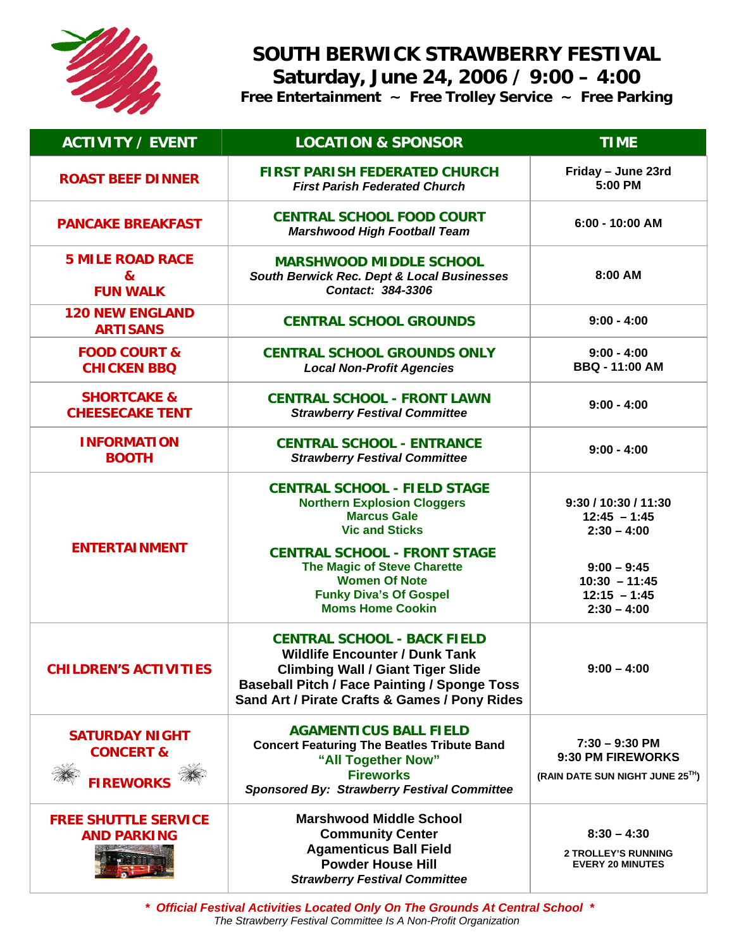

## **SOUTH BERWICK STRAWBERRY FESTIVAL Saturday, June 24, 2006 / 9:00 – 4:00**

**Free Entertainment ~ Free Trolley Service ~ Free Parking** 

| <b>ACTIVITY / EVENT</b>                                           | <b>LOCATION &amp; SPONSOR</b>                                                                                                                                                                                                   | <b>TIME</b>                                                              |
|-------------------------------------------------------------------|---------------------------------------------------------------------------------------------------------------------------------------------------------------------------------------------------------------------------------|--------------------------------------------------------------------------|
| <b>ROAST BEEF DINNER</b>                                          | <b>FIRST PARISH FEDERATED CHURCH</b><br><b>First Parish Federated Church</b>                                                                                                                                                    | Friday - June 23rd<br>5:00 PM                                            |
| <b>PANCAKE BREAKFAST</b>                                          | <b>CENTRAL SCHOOL FOOD COURT</b><br><b>Marshwood High Football Team</b>                                                                                                                                                         | 6:00 - 10:00 AM                                                          |
| <b>5 MILE ROAD RACE</b><br>&<br><b>FUN WALK</b>                   | <b>MARSHWOOD MIDDLE SCHOOL</b><br>South Berwick Rec. Dept & Local Businesses<br>Contact: 384-3306                                                                                                                               | 8:00 AM                                                                  |
| <b>120 NEW ENGLAND</b><br><b>ARTISANS</b>                         | <b>CENTRAL SCHOOL GROUNDS</b>                                                                                                                                                                                                   | $9:00 - 4:00$                                                            |
| <b>FOOD COURT &amp;</b><br><b>CHICKEN BBQ</b>                     | <b>CENTRAL SCHOOL GROUNDS ONLY</b><br><b>Local Non-Profit Agencies</b>                                                                                                                                                          | $9:00 - 4:00$<br><b>BBQ - 11:00 AM</b>                                   |
| <b>SHORTCAKE &amp;</b><br><b>CHEESECAKE TENT</b>                  | <b>CENTRAL SCHOOL - FRONT LAWN</b><br><b>Strawberry Festival Committee</b>                                                                                                                                                      | $9:00 - 4:00$                                                            |
| <b>INFORMATION</b><br><b>BOOTH</b>                                | <b>CENTRAL SCHOOL - ENTRANCE</b><br><b>Strawberry Festival Committee</b>                                                                                                                                                        | $9:00 - 4:00$                                                            |
| <b>ENTERTAINMENT</b>                                              | <b>CENTRAL SCHOOL - FIELD STAGE</b><br><b>Northern Explosion Cloggers</b><br><b>Marcus Gale</b><br><b>Vic and Sticks</b><br><b>CENTRAL SCHOOL - FRONT STAGE</b>                                                                 | 9:30 / 10:30 / 11:30<br>$12:45 - 1:45$<br>$2:30 - 4:00$                  |
|                                                                   | <b>The Magic of Steve Charette</b><br><b>Women Of Note</b><br><b>Funky Diva's Of Gospel</b><br><b>Moms Home Cookin</b>                                                                                                          | $9:00 - 9:45$<br>$10:30 - 11:45$<br>$12:15 - 1:45$<br>$2:30 - 4:00$      |
| <b>CHILDREN'S ACTIVITIES</b>                                      | <b>CENTRAL SCHOOL - BACK FIELD</b><br><b>Wildlife Encounter / Dunk Tank</b><br><b>Climbing Wall / Giant Tiger Slide</b><br><b>Baseball Pitch / Face Painting / Sponge Toss</b><br>Sand Art / Pirate Crafts & Games / Pony Rides | $9:00 - 4:00$                                                            |
| <b>SATURDAY NIGHT</b><br><b>CONCERT &amp;</b><br><b>FIREWORKS</b> | <b>AGAMENTICUS BALL FIELD</b><br><b>Concert Featuring The Beatles Tribute Band</b><br>"All Together Now"<br><b>Fireworks</b><br><b>Sponsored By: Strawberry Festival Committee</b>                                              | $7:30 - 9:30$ PM<br>9:30 PM FIREWORKS<br>(RAIN DATE SUN NIGHT JUNE 25TH) |
| <b>FREE SHUTTLE SERVICE</b><br><b>AND PARKING</b>                 | <b>Marshwood Middle School</b><br><b>Community Center</b><br><b>Agamenticus Ball Field</b><br><b>Powder House Hill</b><br><b>Strawberry Festival Committee</b>                                                                  | $8:30 - 4:30$<br><b>2 TROLLEY'S RUNNING</b><br><b>EVERY 20 MINUTES</b>   |

*\* Official Festival Activities Located Only On The Grounds At Central School \* The Strawberry Festival Committee Is A Non-Profit Organization*